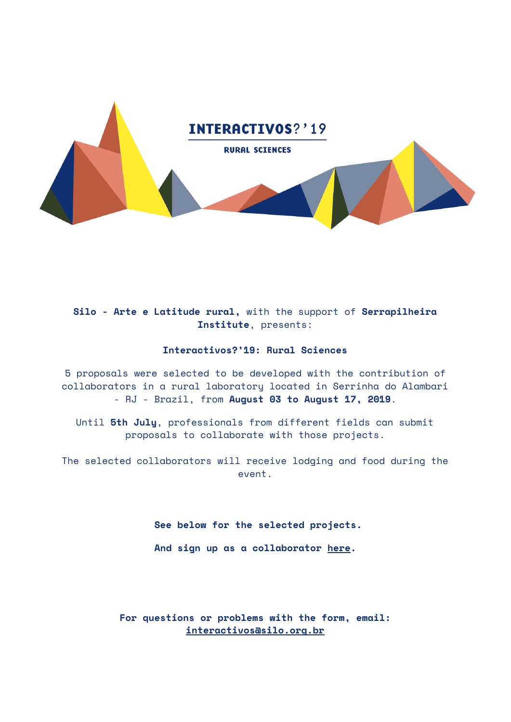

# **Silo - Arte e Latitude rural,** with the support of **Serrapilheira Institute**, presents:

# **Interactivos?'19: Rural Sciences**

5 proposals were selected to be developed with the contribution of collaborators in a rural laboratory located in Serrinha do Alambari - RJ - Brazil, from **August 03 to August 17, 2019**.

Until **5th July**, professionals from different fields can submit proposals to collaborate with those projects.

The selected collaborators will receive lodging and food during the event.

**See below for the selected projects.**

**And sign up as a collaborator [here](https://forms.gle/PXNXAU6viLPdstZ77).**

**For questions or problems with the form, email: [interactivos@silo.org.br](mailto:interactivos@silo.org.br)**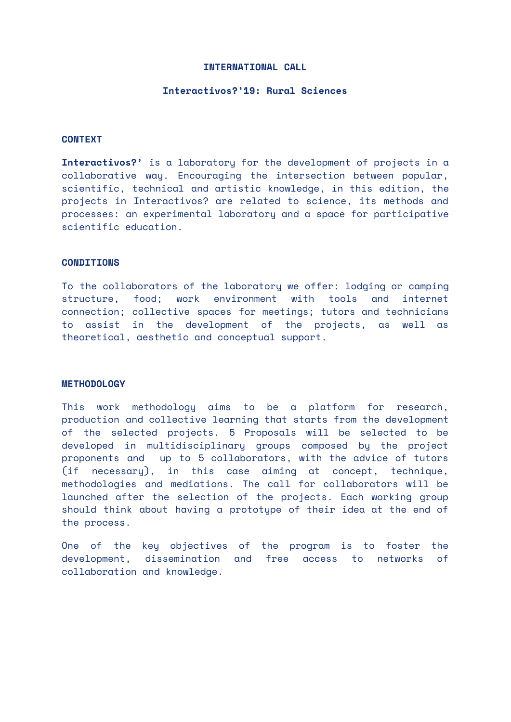#### **INTERNATIONAL CALL**

## **Interactivos?'19: Rural Sciences**

# **CONTEXT**

**Interactivos?'** is a laboratory for the development of projects in a collaborative way. Encouraging the intersection between popular, scientific, technical and artistic knowledge, in this edition, the projects in Interactivos? are related to science, its methods and processes: an experimental laboratory and a space for participative scientific education.

#### **CONDITIONS**

To the collaborators of the laboratory we offer: lodging or camping structure, food; work environment with tools and internet connection; collective spaces for meetings; tutors and technicians to assist in the development of the projects, as well as theoretical, aesthetic and conceptual support.

#### **METHODOLOGY**

This work methodology aims to be a platform for research, production and collective learning that starts from the development of the selected projects. 5 Proposals will be selected to be developed in multidisciplinary groups composed by the project proponents and up to 5 collaborators, with the advice of tutors (if necessary), in this case aiming at concept, technique, methodologies and mediations. The call for collaborators will be launched after the selection of the projects. Each working group should think about having a prototype of their idea at the end of the process.

One of the key objectives of the program is to foster the development, dissemination and free access to networks of collaboration and knowledge.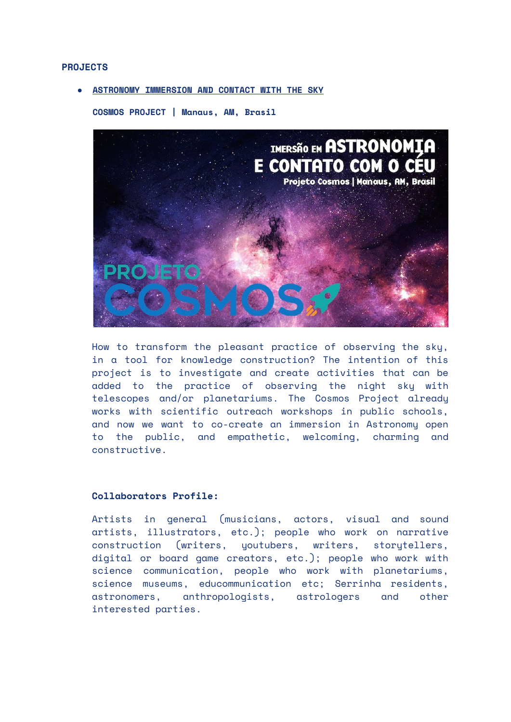#### **PROJECTS**

## **● ASTRONOMY IMMERSION AND CONTACT WITH THE SKY**

**COSMOS PROJECT | Manaus, AM, Brasil**



How to transform the pleasant practice of observing the sky, in a tool for knowledge construction? The intention of this project is to investigate and create activities that can be added to the practice of observing the night sky with telescopes and/or planetariums. The Cosmos Project already works with scientific outreach workshops in public schools, and now we want to co-create an immersion in Astronomy open to the public, and empathetic, welcoming, charming and constructive.

## **Collaborators Profile:**

Artists in general (musicians, actors, visual and sound artists, illustrators, etc.); people who work on narrative construction (writers, youtubers, writers, storytellers, digital or board game creators, etc.); people who work with science communication, people who work with planetariums, science museums, educommunication etc; Serrinha residents, astronomers, anthropologists, astrologers and other interested parties.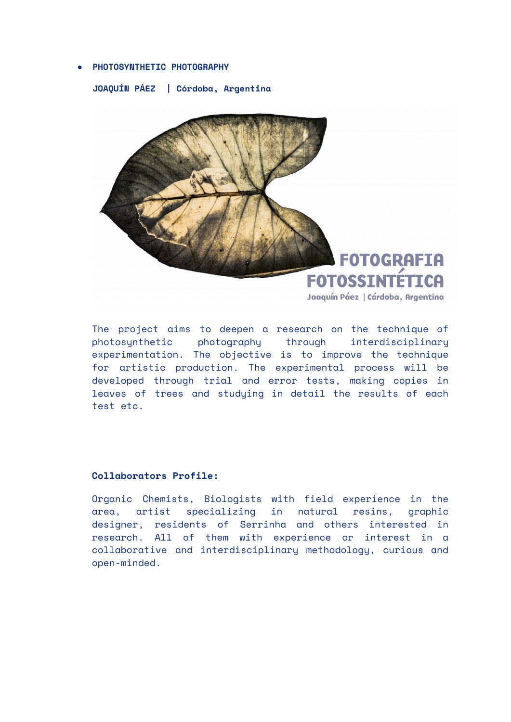## **● PHOTOSYNTHETIC PHOTOGRAPHY**

**JOAQUÍN PÁEZ | Córdoba, Argentina**



The project aims to deepen a research on the technique of photosynthetic photography through interdisciplinary experimentation. The objective is to improve the technique for artistic production. The experimental process will be developed through trial and error tests, making copies in leaves of trees and studying in detail the results of each test etc.

## **Collaborators Profile:**

Organic Chemists, Biologists with field experience in the area, artist specializing in natural resins, graphic designer, residents of Serrinha and others interested in research. All of them with experience or interest in a collaborative and interdisciplinary methodology, curious and open-minded.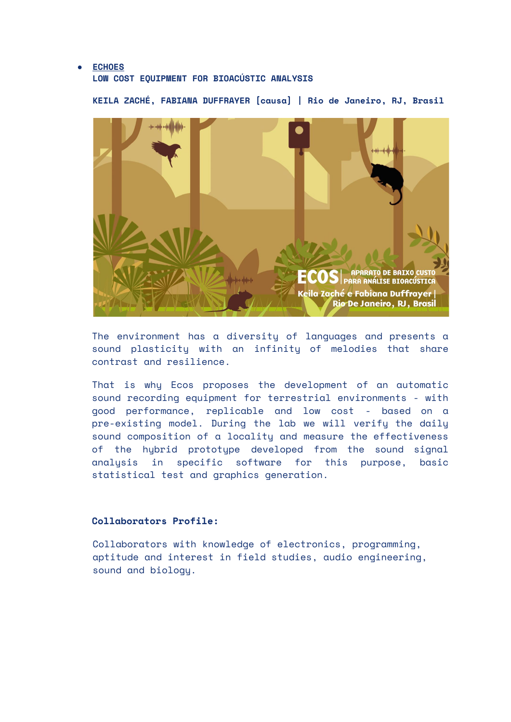## **● ECHOES**

## **LOW COST EQUIPMENT FOR BIOACÚSTIC ANALYSIS**

**KEILA ZACHÉ, FABIANA DUFFRAYER [causa] | Rio de Janeiro, RJ, Brasil**

![](_page_4_Picture_3.jpeg)

The environment has a diversity of languages and presents a sound plasticity with an infinity of melodies that share contrast and resilience.

That is why Ecos proposes the development of an automatic sound recording equipment for terrestrial environments - with good performance, replicable and low cost - based on a pre-existing model. During the lab we will verify the daily sound composition of a locality and measure the effectiveness of the hybrid prototype developed from the sound signal analysis in specific software for this purpose, basic statistical test and graphics generation.

# **Collaborators Profile:**

Collaborators with knowledge of electronics, programming, aptitude and interest in field studies, audio engineering, sound and biology.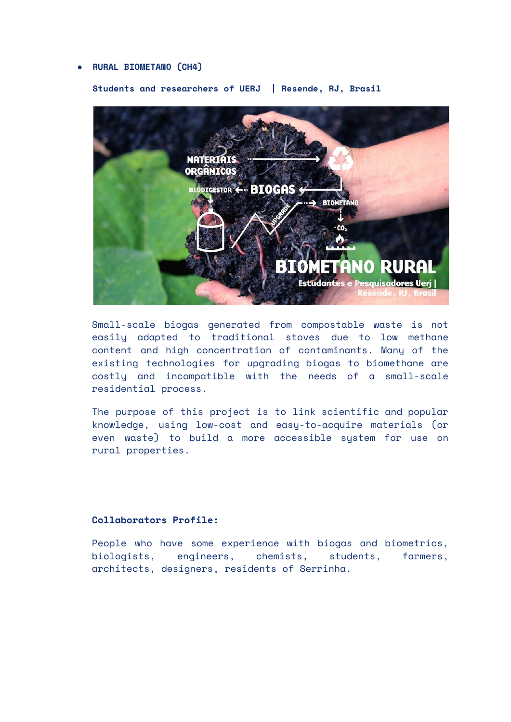### **● RURAL BIOMETANO (CH4)**

**Students and researchers of UERJ | Resende, RJ, Brasil**

![](_page_5_Picture_2.jpeg)

Small-scale biogas generated from compostable waste is not easily adapted to traditional stoves due to low methane content and high concentration of contaminants. Many of the existing technologies for upgrading biogas to biomethane are costly and incompatible with the needs of a small-scale residential process.

The purpose of this project is to link scientific and popular knowledge, using low-cost and easy-to-acquire materials (or even waste) to build a more accessible system for use on rural properties.

#### **Collaborators Profile:**

People who have some experience with biogas and biometrics, biologists, engineers, chemists, students, farmers, architects, designers, residents of Serrinha.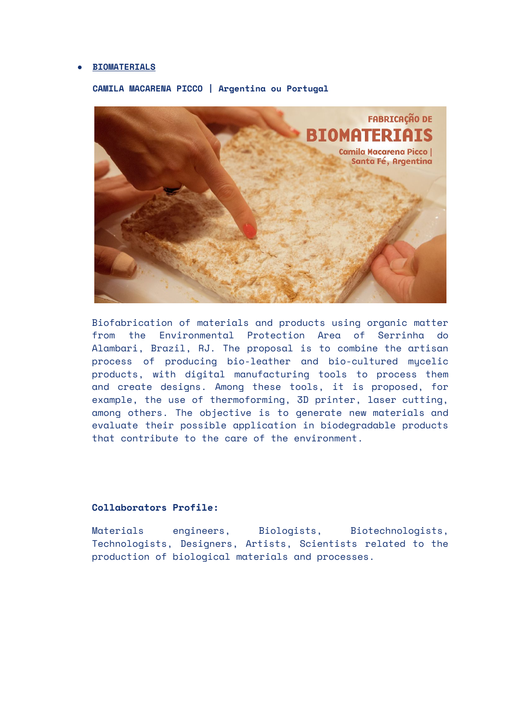#### **● BIOMATERIALS**

![](_page_6_Picture_1.jpeg)

#### **CAMILA MACARENA PICCO | Argentina ou Portugal**

Biofabrication of materials and products using organic matter from the Environmental Protection Area of Serrinha do Alambari, Brazil, RJ. The proposal is to combine the artisan process of producing bio-leather and bio-cultured mycelic products, with digital manufacturing tools to process them and create designs. Among these tools, it is proposed, for example, the use of thermoforming, 3D printer, laser cutting, among others. The objective is to generate new materials and evaluate their possible application in biodegradable products that contribute to the care of the environment.

### **Collaborators Profile:**

Materials engineers, Biologists, Biotechnologists, Technologists, Designers, Artists, Scientists related to the production of biological materials and processes.